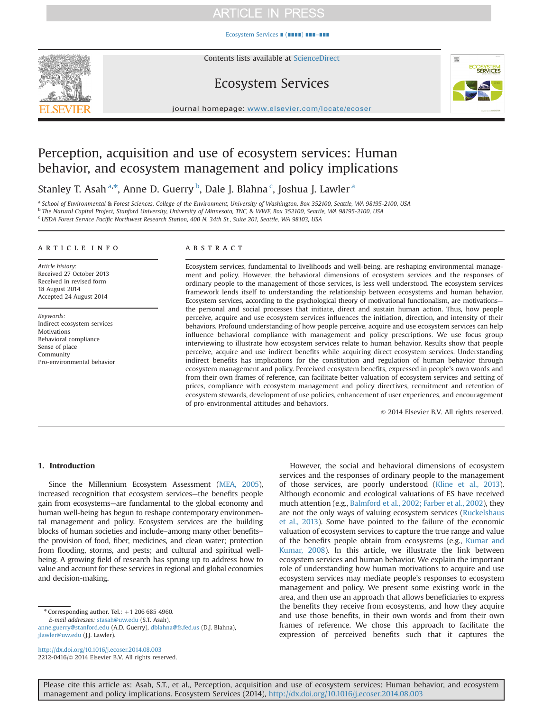### [Ecosystem Services](http://dx.doi.org/10.1016/j.ecoser.2014.08.003) ∎ (∎∎∎∎) ∎∎∎–∎∎∎



Contents lists available at [ScienceDirect](www.sciencedirect.com/science/journal/22120416)

# Ecosystem Services



journal homepage: <www.elsevier.com/locate/ecoser>

# Perception, acquisition and use of ecosystem services: Human behavior, and ecosystem management and policy implications

Stanley T. Asah <sup>a,\*</sup>, Anne D. Guerry <sup>b</sup>, Dale J. Blahna <sup>c</sup>, Joshua J. Lawler <sup>a</sup>

a School of Environmental & Forest Sciences, College of the Environment, University of Washington, Box 352100, Seattle, WA 98195-2100, USA <sup>b</sup> The Natural Capital Project, Stanford University, University of Minnesota, TNC, & WWF, Box 352100, Seattle, WA 98195-2100, USA

<sup>c</sup> USDA Forest Service Pacific Northwest Research Station, 400 N. 34th St., Suite 201, Seattle, WA 98103, USA

#### article info

Article history: Received 27 October 2013 Received in revised form 18 August 2014 Accepted 24 August 2014

Keywords: Indirect ecosystem services Motivations Behavioral compliance Sense of place Community Pro-environmental behavior

### **ABSTRACT**

Ecosystem services, fundamental to livelihoods and well-being, are reshaping environmental management and policy. However, the behavioral dimensions of ecosystem services and the responses of ordinary people to the management of those services, is less well understood. The ecosystem services framework lends itself to understanding the relationship between ecosystems and human behavior. Ecosystem services, according to the psychological theory of motivational functionalism, are motivations the personal and social processes that initiate, direct and sustain human action. Thus, how people perceive, acquire and use ecosystem services influences the initiation, direction, and intensity of their behaviors. Profound understanding of how people perceive, acquire and use ecosystem services can help influence behavioral compliance with management and policy prescriptions. We use focus group interviewing to illustrate how ecosystem services relate to human behavior. Results show that people perceive, acquire and use indirect benefits while acquiring direct ecosystem services. Understanding indirect benefits has implications for the constitution and regulation of human behavior through ecosystem management and policy. Perceived ecosystem benefits, expressed in people's own words and from their own frames of reference, can facilitate better valuation of ecosystem services and setting of prices, compliance with ecosystem management and policy directives, recruitment and retention of ecosystem stewards, development of use policies, enhancement of user experiences, and encouragement of pro-environmental attitudes and behaviors.

 $\odot$  2014 Elsevier B.V. All rights reserved.

### 1. Introduction

Since the Millennium Ecosystem Assessment ([MEA, 2005\)](#page-6-0), increased recognition that ecosystem services—the benefits people gain from ecosystems—are fundamental to the global economy and human well-being has begun to reshape contemporary environmental management and policy. Ecosystem services are the building blocks of human societies and include–among many other benefits– the provision of food, fiber, medicines, and clean water; protection from flooding, storms, and pests; and cultural and spiritual wellbeing. A growing field of research has sprung up to address how to value and account for these services in regional and global economies and decision-making.

Corresponding author. Tel.:  $+1$  206 685 4960.

E-mail addresses: [stasah@uw.edu](mailto:stasah@uw.edu) (S.T. Asah),

[anne.guerry@stanford.edu](mailto:anne.guerry@stanford.edu) (A.D. Guerry), [dblahna@fs.fed.us](mailto:dblahna@fs.fed.us) (D.J. Blahna), [jlawler@uw.edu](mailto:jlawler@uw.edu) (J.J. Lawler).

<http://dx.doi.org/10.1016/j.ecoser.2014.08.003> 2212-0416/© 2014 Elsevier B.V. All rights reserved.

However, the social and behavioral dimensions of ecosystem services and the responses of ordinary people to the management of those services, are poorly understood [\(Kline et al., 2013\)](#page-6-0). Although economic and ecological valuations of ES have received much attention (e.g., [Balmford et al., 2002; Farber et al., 2002](#page-6-0)), they are not the only ways of valuing ecosystem services ([Ruckelshaus](#page-6-0) [et al., 2013](#page-6-0)). Some have pointed to the failure of the economic valuation of ecosystem services to capture the true range and value of the benefits people obtain from ecosystems (e.g., [Kumar and](#page-6-0) [Kumar, 2008\)](#page-6-0). In this article, we illustrate the link between ecosystem services and human behavior. We explain the important role of understanding how human motivations to acquire and use ecosystem services may mediate people's responses to ecosystem management and policy. We present some existing work in the area, and then use an approach that allows beneficiaries to express the benefits they receive from ecosystems, and how they acquire and use those benefits, in their own words and from their own frames of reference. We chose this approach to facilitate the expression of perceived benefits such that it captures the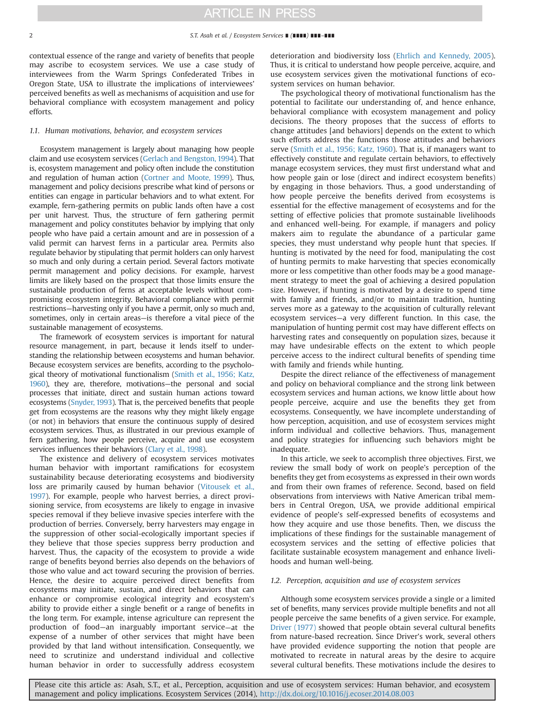contextual essence of the range and variety of benefits that people may ascribe to ecosystem services. We use a case study of interviewees from the Warm Springs Confederated Tribes in Oregon State, USA to illustrate the implications of interviewees' perceived benefits as well as mechanisms of acquisition and use for behavioral compliance with ecosystem management and policy efforts.

## 1.1. Human motivations, behavior, and ecosystem services

Ecosystem management is largely about managing how people claim and use ecosystem services [\(Gerlach and Bengston, 1994\)](#page-6-0). That is, ecosystem management and policy often include the constitution and regulation of human action ([Cortner and Moote, 1999\)](#page-6-0). Thus, management and policy decisions prescribe what kind of persons or entities can engage in particular behaviors and to what extent. For example, fern-gathering permits on public lands often have a cost per unit harvest. Thus, the structure of fern gathering permit management and policy constitutes behavior by implying that only people who have paid a certain amount and are in possession of a valid permit can harvest ferns in a particular area. Permits also regulate behavior by stipulating that permit holders can only harvest so much and only during a certain period. Several factors motivate permit management and policy decisions. For example, harvest limits are likely based on the prospect that those limits ensure the sustainable production of ferns at acceptable levels without compromising ecosystem integrity. Behavioral compliance with permit restrictions—harvesting only if you have a permit, only so much and, sometimes, only in certain areas—is therefore a vital piece of the sustainable management of ecosystems.

The framework of ecosystem services is important for natural resource management, in part, because it lends itself to understanding the relationship between ecosystems and human behavior. Because ecosystem services are benefits, according to the psychological theory of motivational functionalism ([Smith et al., 1956; Katz,](#page-6-0) [1960\)](#page-6-0), they are, therefore, motivations—the personal and social processes that initiate, direct and sustain human actions toward ecosystems [\(Snyder, 1993](#page-6-0)). That is, the perceived benefits that people get from ecosystems are the reasons why they might likely engage (or not) in behaviors that ensure the continuous supply of desired ecosystem services. Thus, as illustrated in our previous example of fern gathering, how people perceive, acquire and use ecosystem services influences their behaviors [\(Clary et al., 1998](#page-5-0)).

The existence and delivery of ecosystem services motivates human behavior with important ramifications for ecosystem sustainability because deteriorating ecosystems and biodiversity loss are primarily caused by human behavior ([Vitousek et al.,](#page-6-0) [1997](#page-6-0)). For example, people who harvest berries, a direct provisioning service, from ecosystems are likely to engage in invasive species removal if they believe invasive species interfere with the production of berries. Conversely, berry harvesters may engage in the suppression of other social-ecologically important species if they believe that those species suppress berry production and harvest. Thus, the capacity of the ecosystem to provide a wide range of benefits beyond berries also depends on the behaviors of those who value and act toward securing the provision of berries. Hence, the desire to acquire perceived direct benefits from ecosystems may initiate, sustain, and direct behaviors that can enhance or compromise ecological integrity and ecosystem's ability to provide either a single benefit or a range of benefits in the long term. For example, intense agriculture can represent the production of food—an inarguably important service—at the expense of a number of other services that might have been provided by that land without intensification. Consequently, we need to scrutinize and understand individual and collective human behavior in order to successfully address ecosystem deterioration and biodiversity loss ([Ehrlich and Kennedy, 2005\)](#page-6-0). Thus, it is critical to understand how people perceive, acquire, and use ecosystem services given the motivational functions of ecosystem services on human behavior.

The psychological theory of motivational functionalism has the potential to facilitate our understanding of, and hence enhance, behavioral compliance with ecosystem management and policy decisions. The theory proposes that the success of efforts to change attitudes [and behaviors] depends on the extent to which such efforts address the functions those attitudes and behaviors serve [\(Smith et al., 1956; Katz, 1960](#page-6-0)). That is, if managers want to effectively constitute and regulate certain behaviors, to effectively manage ecosystem services, they must first understand what and how people gain or lose (direct and indirect ecosystem benefits) by engaging in those behaviors. Thus, a good understanding of how people perceive the benefits derived from ecosystems is essential for the effective management of ecosystems and for the setting of effective policies that promote sustainable livelihoods and enhanced well-being. For example, if managers and policy makers aim to regulate the abundance of a particular game species, they must understand why people hunt that species. If hunting is motivated by the need for food, manipulating the cost of hunting permits to make harvesting that species economically more or less competitive than other foods may be a good management strategy to meet the goal of achieving a desired population size. However, if hunting is motivated by a desire to spend time with family and friends, and/or to maintain tradition, hunting serves more as a gateway to the acquisition of culturally relevant ecosystem services—a very different function. In this case, the manipulation of hunting permit cost may have different effects on harvesting rates and consequently on population sizes, because it may have undesirable effects on the extent to which people perceive access to the indirect cultural benefits of spending time with family and friends while hunting.

Despite the direct reliance of the effectiveness of management and policy on behavioral compliance and the strong link between ecosystem services and human actions, we know little about how people perceive, acquire and use the benefits they get from ecosystems. Consequently, we have incomplete understanding of how perception, acquisition, and use of ecosystem services might inform individual and collective behaviors. Thus, management and policy strategies for influencing such behaviors might be inadequate.

In this article, we seek to accomplish three objectives. First, we review the small body of work on people's perception of the benefits they get from ecosystems as expressed in their own words and from their own frames of reference. Second, based on field observations from interviews with Native American tribal members in Central Oregon, USA, we provide additional empirical evidence of people's self-expressed benefits of ecosystems and how they acquire and use those benefits. Then, we discuss the implications of these findings for the sustainable management of ecosystem services and the setting of effective policies that facilitate sustainable ecosystem management and enhance livelihoods and human well-being.

## 1.2. Perception, acquisition and use of ecosystem services

Although some ecosystem services provide a single or a limited set of benefits, many services provide multiple benefits and not all people perceive the same benefits of a given service. For example, [Driver \(1977\)](#page-6-0) showed that people obtain several cultural benefits from nature-based recreation. Since Driver's work, several others have provided evidence supporting the notion that people are motivated to recreate in natural areas by the desire to acquire several cultural benefits. These motivations include the desires to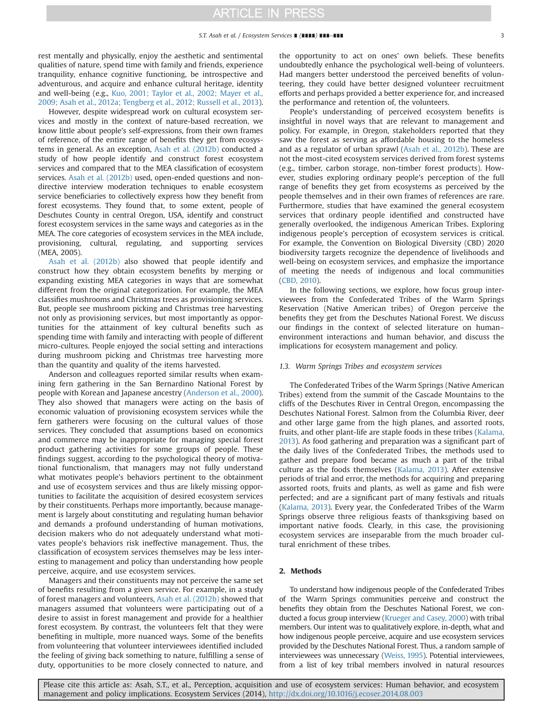rest mentally and physically, enjoy the aesthetic and sentimental qualities of nature, spend time with family and friends, experience tranquility, enhance cognitive functioning, be introspective and adventurous, and acquire and enhance cultural heritage, identity and well-being (e.g., [Kuo, 2001; Taylor et al., 2002; Mayer et al.,](#page-6-0) [2009; Asah et al., 2012a; Tengberg et al., 2012; Russell et al., 2013\)](#page-6-0).

However, despite widespread work on cultural ecosystem services and mostly in the context of nature-based recreation, we know little about people's self-expressions, from their own frames of reference, of the entire range of benefits they get from ecosystems in general. As an exception, [Asah et al. \(2012b\)](#page-5-0) conducted a study of how people identify and construct forest ecosystem services and compared that to the MEA classification of ecosystem services. [Asah et al. \(2012b\)](#page-5-0) used, open-ended questions and nondirective interview moderation techniques to enable ecosystem service beneficiaries to collectively express how they benefit from forest ecosystems. They found that, to some extent, people of Deschutes County in central Oregon, USA, identify and construct forest ecosystem services in the same ways and categories as in the MEA. The core categories of ecosystem services in the MEA include, provisioning, cultural, regulating, and supporting services (MEA, 2005).

[Asah et al. \(2012b\)](#page-5-0) also showed that people identify and construct how they obtain ecosystem benefits by merging or expanding existing MEA categories in ways that are somewhat different from the original categorization. For example, the MEA classifies mushrooms and Christmas trees as provisioning services. But, people see mushroom picking and Christmas tree harvesting not only as provisioning services, but most importantly as opportunities for the attainment of key cultural benefits such as spending time with family and interacting with people of different micro-cultures. People enjoyed the social setting and interactions during mushroom picking and Christmas tree harvesting more than the quantity and quality of the items harvested.

Anderson and colleagues reported similar results when examining fern gathering in the San Bernardino National Forest by people with Korean and Japanese ancestry [\(Anderson et al., 2000\)](#page-5-0). They also showed that managers were acting on the basis of economic valuation of provisioning ecosystem services while the fern gatherers were focusing on the cultural values of those services. They concluded that assumptions based on economics and commerce may be inappropriate for managing special forest product gathering activities for some groups of people. These findings suggest, according to the psychological theory of motivational functionalism, that managers may not fully understand what motivates people's behaviors pertinent to the obtainment and use of ecosystem services and thus are likely missing opportunities to facilitate the acquisition of desired ecosystem services by their constituents. Perhaps more importantly, because management is largely about constituting and regulating human behavior and demands a profound understanding of human motivations, decision makers who do not adequately understand what motivates people's behaviors risk ineffective management. Thus, the classification of ecosystem services themselves may be less interesting to management and policy than understanding how people perceive, acquire, and use ecosystem services.

Managers and their constituents may not perceive the same set of benefits resulting from a given service. For example, in a study of forest managers and volunteers, [Asah et al. \(2012b\)](#page-5-0) showed that managers assumed that volunteers were participating out of a desire to assist in forest management and provide for a healthier forest ecosystem. By contrast, the volunteers felt that they were benefiting in multiple, more nuanced ways. Some of the benefits from volunteering that volunteer interviewees identified included the feeling of giving back something to nature, fulfilling a sense of duty, opportunities to be more closely connected to nature, and

the opportunity to act on ones' own beliefs. These benefits undoubtedly enhance the psychological well-being of volunteers. Had mangers better understood the perceived benefits of volunteering, they could have better designed volunteer recruitment efforts and perhaps provided a better experience for, and increased the performance and retention of, the volunteers.

People's understanding of perceived ecosystem benefits is insightful in novel ways that are relevant to management and policy. For example, in Oregon, stakeholders reported that they saw the forest as serving as affordable housing to the homeless and as a regulator of urban sprawl [\(Asah et al., 2012b](#page-5-0)). These are not the most-cited ecosystem services derived from forest systems (e.g., timber, carbon storage, non-timber forest products). However, studies exploring ordinary people's perception of the full range of benefits they get from ecosystems as perceived by the people themselves and in their own frames of references are rare. Furthermore, studies that have examined the general ecosystem services that ordinary people identified and constructed have generally overlooked, the indigenous American Tribes. Exploring indigenous people's perception of ecosystem services is critical. For example, the Convention on Biological Diversity (CBD) 2020 biodiversity targets recognize the dependence of livelihoods and well-being on ecosystem services, and emphasize the importance of meeting the needs of indigenous and local communities ([CBD, 2010](#page-5-0)).

In the following sections, we explore, how focus group interviewees from the Confederated Tribes of the Warm Springs Reservation (Native American tribes) of Oregon perceive the benefits they get from the Deschutes National Forest. We discuss our findings in the context of selected literature on human– environment interactions and human behavior, and discuss the implications for ecosystem management and policy.

### 1.3. Warm Springs Tribes and ecosystem services

The Confederated Tribes of the Warm Springs (Native American Tribes) extend from the summit of the Cascade Mountains to the cliffs of the Deschutes River in Central Oregon, encompassing the Deschutes National Forest. Salmon from the Columbia River, deer and other large game from the high planes, and assorted roots, fruits, and other plant-life are staple foods in these tribes ([Kalama,](#page-6-0) [2013\)](#page-6-0). As food gathering and preparation was a significant part of the daily lives of the Confederated Tribes, the methods used to gather and prepare food became as much a part of the tribal culture as the foods themselves ([Kalama, 2013\)](#page-6-0). After extensive periods of trial and error, the methods for acquiring and preparing assorted roots, fruits and plants, as well as game and fish were perfected; and are a significant part of many festivals and rituals ([Kalama, 2013\)](#page-6-0). Every year, the Confederated Tribes of the Warm Springs observe three religious feasts of thanksgiving based on important native foods. Clearly, in this case, the provisioning ecosystem services are inseparable from the much broader cultural enrichment of these tribes.

### 2. Methods

To understand how indigenous people of the Confederated Tribes of the Warm Springs communities perceive and construct the benefits they obtain from the Deschutes National Forest, we conducted a focus group interview [\(Krueger and Casey, 2000](#page-6-0)) with tribal members. Our intent was to qualitatively explore, in-depth, what and how indigenous people perceive, acquire and use ecosystem services provided by the Deschutes National Forest. Thus, a random sample of interviewees was unnecessary ([Weiss, 1995\)](#page-6-0). Potential interviewees, from a list of key tribal members involved in natural resources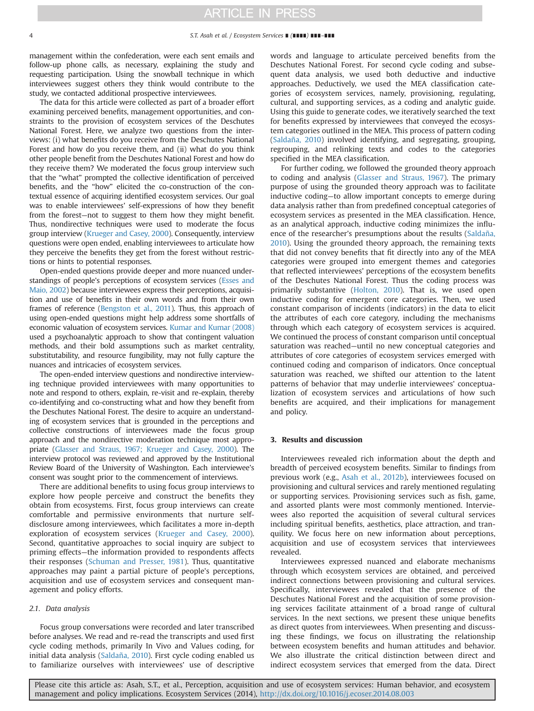management within the confederation, were each sent emails and follow-up phone calls, as necessary, explaining the study and requesting participation. Using the snowball technique in which interviewees suggest others they think would contribute to the study, we contacted additional prospective interviewees.

The data for this article were collected as part of a broader effort examining perceived benefits, management opportunities, and constraints to the provision of ecosystem services of the Deschutes National Forest. Here, we analyze two questions from the interviews: (i) what benefits do you receive from the Deschutes National Forest and how do you receive them, and (ii) what do you think other people benefit from the Deschutes National Forest and how do they receive them? We moderated the focus group interview such that the "what" prompted the collective identification of perceived benefits, and the "how" elicited the co-construction of the contextual essence of acquiring identified ecosystem services. Our goal was to enable interviewees' self-expressions of how they benefit from the forest—not to suggest to them how they might benefit. Thus, nondirective techniques were used to moderate the focus group interview [\(Krueger and Casey, 2000](#page-6-0)). Consequently, interview questions were open ended, enabling interviewees to articulate how they perceive the benefits they get from the forest without restrictions or hints to potential responses.

Open-ended questions provide deeper and more nuanced understandings of people's perceptions of ecosystem services [\(Esses and](#page-6-0) [Maio, 2002\)](#page-6-0) because interviewees express their perceptions, acquisition and use of benefits in their own words and from their own frames of reference [\(Bengston et al., 2011\)](#page-5-0). Thus, this approach of using open-ended questions might help address some shortfalls of economic valuation of ecosystem services. [Kumar and Kumar \(2008\)](#page-6-0) used a psychoanalytic approach to show that contingent valuation methods, and their bold assumptions such as market centrality, substitutability, and resource fungibility, may not fully capture the nuances and intricacies of ecosystem services.

The open-ended interview questions and nondirective interviewing technique provided interviewees with many opportunities to note and respond to others, explain, re-visit and re-explain, thereby co-identifying and co-constructing what and how they benefit from the Deschutes National Forest. The desire to acquire an understanding of ecosystem services that is grounded in the perceptions and collective constructions of interviewees made the focus group approach and the nondirective moderation technique most appropriate [\(Glasser and Straus, 1967; Krueger and Casey, 2000\)](#page-6-0). The interview protocol was reviewed and approved by the Institutional Review Board of the University of Washington. Each interviewee's consent was sought prior to the commencement of interviews.

There are additional benefits to using focus group interviews to explore how people perceive and construct the benefits they obtain from ecosystems. First, focus group interviews can create comfortable and permissive environments that nurture selfdisclosure among interviewees, which facilitates a more in-depth exploration of ecosystem services ([Krueger and Casey, 2000\)](#page-6-0). Second, quantitative approaches to social inquiry are subject to priming effects—the information provided to respondents affects their responses ([Schuman and Presser, 1981\)](#page-6-0). Thus, quantitative approaches may paint a partial picture of people's perceptions, acquisition and use of ecosystem services and consequent management and policy efforts.

### 2.1. Data analysis

Focus group conversations were recorded and later transcribed before analyses. We read and re-read the transcripts and used first cycle coding methods, primarily In Vivo and Values coding, for initial data analysis ([Saldaña, 2010](#page-6-0)). First cycle coding enabled us to familiarize ourselves with interviewees' use of descriptive words and language to articulate perceived benefits from the Deschutes National Forest. For second cycle coding and subsequent data analysis, we used both deductive and inductive approaches. Deductively, we used the MEA classification categories of ecosystem services, namely, provisioning, regulating, cultural, and supporting services, as a coding and analytic guide. Using this guide to generate codes, we iteratively searched the text for benefits expressed by interviewees that conveyed the ecosystem categories outlined in the MEA. This process of pattern coding ([Saldaña, 2010](#page-6-0)) involved identifying, and segregating, grouping, regrouping, and relinking texts and codes to the categories specified in the MEA classification.

For further coding, we followed the grounded theory approach to coding and analysis [\(Glasser and Straus, 1967](#page-6-0)). The primary purpose of using the grounded theory approach was to facilitate inductive coding—to allow important concepts to emerge during data analysis rather than from predefined conceptual categories of ecosystem services as presented in the MEA classification. Hence, as an analytical approach, inductive coding minimizes the influence of the researcher's presumptions about the results [\(Saldaña,](#page-6-0) [2010\)](#page-6-0). Using the grounded theory approach, the remaining texts that did not convey benefits that fit directly into any of the MEA categories were grouped into emergent themes and categories that reflected interviewees' perceptions of the ecosystem benefits of the Deschutes National Forest. Thus the coding process was primarily substantive ([Holton, 2010](#page-6-0)). That is, we used open inductive coding for emergent core categories. Then, we used constant comparison of incidents (indicators) in the data to elicit the attributes of each core category, including the mechanisms through which each category of ecosystem services is acquired. We continued the process of constant comparison until conceptual saturation was reached—until no new conceptual categories and attributes of core categories of ecosystem services emerged with continued coding and comparison of indicators. Once conceptual saturation was reached, we shifted our attention to the latent patterns of behavior that may underlie interviewees' conceptualization of ecosystem services and articulations of how such benefits are acquired, and their implications for management and policy.

#### 3. Results and discussion

Interviewees revealed rich information about the depth and breadth of perceived ecosystem benefits. Similar to findings from previous work (e.g., [Asah et al., 2012b\)](#page-5-0), interviewees focused on provisioning and cultural services and rarely mentioned regulating or supporting services. Provisioning services such as fish, game, and assorted plants were most commonly mentioned. Interviewees also reported the acquisition of several cultural services including spiritual benefits, aesthetics, place attraction, and tranquility. We focus here on new information about perceptions, acquisition and use of ecosystem services that interviewees revealed.

Interviewees expressed nuanced and elaborate mechanisms through which ecosystem services are obtained, and perceived indirect connections between provisioning and cultural services. Specifically, interviewees revealed that the presence of the Deschutes National Forest and the acquisition of some provisioning services facilitate attainment of a broad range of cultural services. In the next sections, we present these unique benefits as direct quotes from interviewees. When presenting and discussing these findings, we focus on illustrating the relationship between ecosystem benefits and human attitudes and behavior. We also illustrate the critical distinction between direct and indirect ecosystem services that emerged from the data. Direct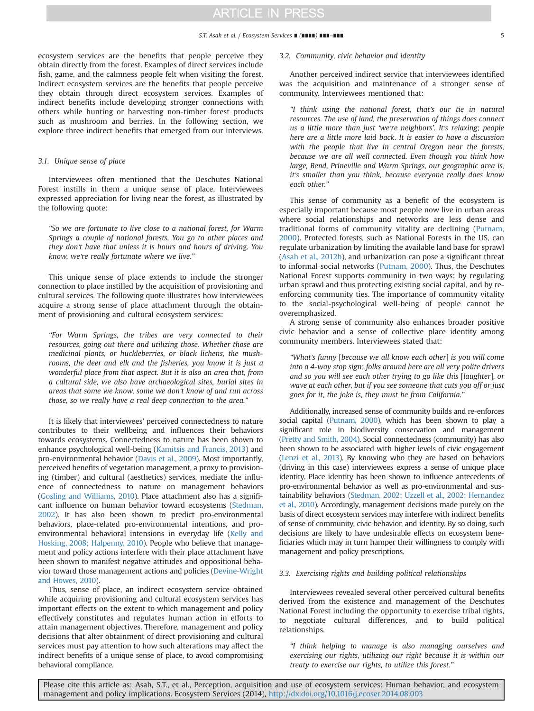#### S.T. Asah et al. / Ecosystem Services ∎ (∎∎∎∎) ∎∎∎–∎∎∎ 5

ecosystem services are the benefits that people perceive they obtain directly from the forest. Examples of direct services include fish, game, and the calmness people felt when visiting the forest. Indirect ecosystem services are the benefits that people perceive they obtain through direct ecosystem services. Examples of indirect benefits include developing stronger connections with others while hunting or harvesting non-timber forest products such as mushroom and berries. In the following section, we explore three indirect benefits that emerged from our interviews.

## 3.1. Unique sense of place

Interviewees often mentioned that the Deschutes National Forest instills in them a unique sense of place. Interviewees expressed appreciation for living near the forest, as illustrated by the following quote:

"So we are fortunate to live close to a national forest, for Warm Springs a couple of national forests. You go to other places and they don't have that unless it is hours and hours of driving. You know, we're really fortunate where we live."

This unique sense of place extends to include the stronger connection to place instilled by the acquisition of provisioning and cultural services. The following quote illustrates how interviewees acquire a strong sense of place attachment through the obtainment of provisioning and cultural ecosystem services:

"For Warm Springs, the tribes are very connected to their resources, going out there and utilizing those. Whether those are medicinal plants, or huckleberries, or black lichens, the mushrooms, the deer and elk and the fisheries, you know it is just a wonderful place from that aspect. But it is also an area that, from a cultural side, we also have archaeological sites, burial sites in areas that some we know, some we don't know of and run across those, so we really have a real deep connection to the area."

It is likely that interviewees' perceived connectedness to nature contributes to their wellbeing and influences their behaviors towards ecosystems. Connectedness to nature has been shown to enhance psychological well-being ([Kamitsis and Francis, 2013\)](#page-6-0) and pro-environmental behavior [\(Davis et al., 2009\)](#page-6-0). Most importantly, perceived benefits of vegetation management, a proxy to provisioning (timber) and cultural (aesthetics) services, mediate the influence of connectedness to nature on management behaviors [\(Gosling and Williams, 2010\)](#page-6-0). Place attachment also has a significant influence on human behavior toward ecosystems [\(Stedman,](#page-6-0) [2002](#page-6-0)). It has also been shown to predict pro-environmental behaviors, place-related pro-environmental intentions, and proenvironmental behavioral intensions in everyday life ([Kelly and](#page-6-0) [Hosking, 2008; Halpenny, 2010\)](#page-6-0). People who believe that management and policy actions interfere with their place attachment have been shown to manifest negative attitudes and oppositional behavior toward those management actions and policies [\(Devine-Wright](#page-6-0) [and Howes, 2010\)](#page-6-0).

Thus, sense of place, an indirect ecosystem service obtained while acquiring provisioning and cultural ecosystem services has important effects on the extent to which management and policy effectively constitutes and regulates human action in efforts to attain management objectives. Therefore, management and policy decisions that alter obtainment of direct provisioning and cultural services must pay attention to how such alterations may affect the indirect benefits of a unique sense of place, to avoid compromising behavioral compliance.

#### 3.2. Community, civic behavior and identity

Another perceived indirect service that interviewees identified was the acquisition and maintenance of a stronger sense of community. Interviewees mentioned that:

"I think using the national forest, that's our tie in natural resources. The use of land, the preservation of things does connect us a little more than just 'we're neighbors'. It's relaxing; people here are a little more laid back. It is easier to have a discussion with the people that live in central Oregon near the forests, because we are all well connected. Even though you think how large, Bend, Prineville and Warm Springs, our geographic area is, it's smaller than you think, because everyone really does know each other."

This sense of community as a benefit of the ecosystem is especially important because most people now live in urban areas where social relationships and networks are less dense and traditional forms of community vitality are declining [\(Putnam,](#page-6-0) [2000](#page-6-0)). Protected forests, such as National Forests in the US, can regulate urbanization by limiting the available land base for sprawl ([Asah et al., 2012b](#page-5-0)), and urbanization can pose a significant threat to informal social networks ([Putnam, 2000\)](#page-6-0). Thus, the Deschutes National Forest supports community in two ways: by regulating urban sprawl and thus protecting existing social capital, and by reenforcing community ties. The importance of community vitality to the social-psychological well-being of people cannot be overemphasized.

A strong sense of community also enhances broader positive civic behavior and a sense of collective place identity among community members. Interviewees stated that:

"What's funny [because we all know each other] is you will come into a 4-way stop sign; folks around here are all very polite drivers and so you will see each other trying to go like this [laughter], or wave at each other, but if you see someone that cuts you off or just goes for it, the joke is, they must be from California."

Additionally, increased sense of community builds and re-enforces social capital ([Putnam, 2000](#page-6-0)), which has been shown to play a significant role in biodiversity conservation and management [\(Pretty and Smith, 2004](#page-6-0)). Social connectedness (community) has also been shown to be associated with higher levels of civic engagement [\(Lenzi et al., 2013\)](#page-6-0). By knowing who they are based on behaviors (driving in this case) interviewees express a sense of unique place identity. Place identity has been shown to influence antecedents of pro-environmental behavior as well as pro-environmental and sustainability behaviors [\(Stedman, 2002; Uzzell et al., 2002; Hernandez](#page-6-0) [et al., 2010\)](#page-6-0). Accordingly, management decisions made purely on the basis of direct ecosystem services may interfere with indirect benefits of sense of community, civic behavior, and identity. By so doing, such decisions are likely to have undesirable effects on ecosystem beneficiaries which may in turn hamper their willingness to comply with management and policy prescriptions.

## 3.3. Exercising rights and building political relationships

Interviewees revealed several other perceived cultural benefits derived from the existence and management of the Deschutes National Forest including the opportunity to exercise tribal rights, to negotiate cultural differences, and to build political relationships.

"I think helping to manage is also managing ourselves and exercising our rights, utilizing our right because it is within our treaty to exercise our rights, to utilize this forest."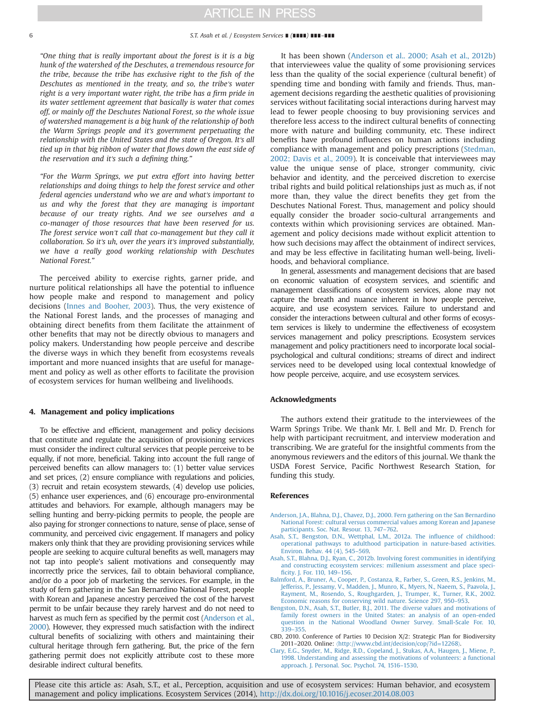<span id="page-5-0"></span>

"One thing that is really important about the forest is it is a big hunk of the watershed of the Deschutes, a tremendous resource for the tribe, because the tribe has exclusive right to the fish of the Deschutes as mentioned in the treaty, and so, the tribe's water right is a very important water right, the tribe has a firm pride in its water settlement agreement that basically is water that comes off, or mainly off the Deschutes National Forest, so the whole issue of watershed management is a big hunk of the relationship of both the Warm Springs people and it's government perpetuating the relationship with the United States and the state of Oregon. It's all tied up in that big ribbon of water that flows down the east side of the reservation and it's such a defining thing."

"For the Warm Springs, we put extra effort into having better relationships and doing things to help the forest service and other federal agencies understand who we are and what's important to us and why the forest that they are managing is important because of our treaty rights. And we see ourselves and a co-manager of those resources that have been reserved for us. The forest service won't call that co-management but they call it collaboration. So it's uh, over the years it's improved substantially, we have a really good working relationship with Deschutes National Forest."

The perceived ability to exercise rights, garner pride, and nurture political relationships all have the potential to influence how people make and respond to management and policy decisions [\(Innes and Booher, 2003](#page-6-0)). Thus, the very existence of the National Forest lands, and the processes of managing and obtaining direct benefits from them facilitate the attainment of other benefits that may not be directly obvious to managers and policy makers. Understanding how people perceive and describe the diverse ways in which they benefit from ecosystems reveals important and more nuanced insights that are useful for management and policy as well as other efforts to facilitate the provision of ecosystem services for human wellbeing and livelihoods.

# 4. Management and policy implications

To be effective and efficient, management and policy decisions that constitute and regulate the acquisition of provisioning services must consider the indirect cultural services that people perceive to be equally, if not more, beneficial. Taking into account the full range of perceived benefits can allow managers to: (1) better value services and set prices, (2) ensure compliance with regulations and policies, (3) recruit and retain ecosystem stewards, (4) develop use policies, (5) enhance user experiences, and (6) encourage pro-environmental attitudes and behaviors. For example, although managers may be selling hunting and berry-picking permits to people, the people are also paying for stronger connections to nature, sense of place, sense of community, and perceived civic engagement. If managers and policy makers only think that they are providing provisioning services while people are seeking to acquire cultural benefits as well, managers may not tap into people's salient motivations and consequently may incorrectly price the services, fail to obtain behavioral compliance, and/or do a poor job of marketing the services. For example, in the study of fern gathering in the San Bernardino National Forest, people with Korean and Japanese ancestry perceived the cost of the harvest permit to be unfair because they rarely harvest and do not need to harvest as much fern as specified by the permit cost (Anderson et al., 2000). However, they expressed much satisfaction with the indirect cultural benefits of socializing with others and maintaining their cultural heritage through fern gathering. But, the price of the fern gathering permit does not explicitly attribute cost to these more desirable indirect cultural benefits.

It has been shown (Anderson et al.. 2000; Asah et al., 2012b) that interviewees value the quality of some provisioning services less than the quality of the social experience (cultural benefit) of spending time and bonding with family and friends. Thus, management decisions regarding the aesthetic qualities of provisioning services without facilitating social interactions during harvest may lead to fewer people choosing to buy provisioning services and therefore less access to the indirect cultural benefits of connecting more with nature and building community, etc. These indirect benefits have profound influences on human actions including compliance with management and policy prescriptions ([Stedman,](#page-6-0) [2002; Davis et al., 2009\)](#page-6-0). It is conceivable that interviewees may value the unique sense of place, stronger community, civic behavior and identity, and the perceived discretion to exercise tribal rights and build political relationships just as much as, if not more than, they value the direct benefits they get from the Deschutes National Forest. Thus, management and policy should equally consider the broader socio-cultural arrangements and contexts within which provisioning services are obtained. Management and policy decisions made without explicit attention to how such decisions may affect the obtainment of indirect services, and may be less effective in facilitating human well-being, livelihoods, and behavioral compliance.

In general, assessments and management decisions that are based on economic valuation of ecosystem services, and scientific and management classifications of ecosystem services, alone may not capture the breath and nuance inherent in how people perceive, acquire, and use ecosystem services. Failure to understand and consider the interactions between cultural and other forms of ecosystem services is likely to undermine the effectiveness of ecosystem services management and policy prescriptions. Ecosystem services management and policy practitioners need to incorporate local socialpsychological and cultural conditions; streams of direct and indirect services need to be developed using local contextual knowledge of how people perceive, acquire, and use ecosystem services.

#### Acknowledgments

The authors extend their gratitude to the interviewees of the Warm Springs Tribe. We thank Mr. I. Bell and Mr. D. French for help with participant recruitment, and interview moderation and transcribing. We are grateful for the insightful comments from the anonymous reviewers and the editors of this journal. We thank the USDA Forest Service, Pacific Northwest Research Station, for funding this study.

### References

- [Anderson, J.A., Blahna, D.J., Chavez, D.J., 2000. Fern gathering on the San Bernardino](http://refhub.elsevier.com/S2212-0416(14)00087-4/sbref1) [National Forest: cultural versus commercial values among Korean and Japanese](http://refhub.elsevier.com/S2212-0416(14)00087-4/sbref1) [participants. Soc. Nat. Resour. 13, 747](http://refhub.elsevier.com/S2212-0416(14)00087-4/sbref1)–762.
- [Asah, S.T., Bengston, D.N., Wettphal, L.M., 2012a. The in](http://refhub.elsevier.com/S2212-0416(14)00087-4/sbref2)fluence of childhood: [operational pathways to adulthood participation in nature-based activities.](http://refhub.elsevier.com/S2212-0416(14)00087-4/sbref2) [Environ. Behav. 44 \(4\), 545](http://refhub.elsevier.com/S2212-0416(14)00087-4/sbref2)–569.
- [Asah, S.T., Blahna, D.J., Ryan, C., 2012b. Involving forest communities in identifying](http://refhub.elsevier.com/S2212-0416(14)00087-4/sbref3) [and constructing ecosystem services: millenium assessment and place speci](http://refhub.elsevier.com/S2212-0416(14)00087-4/sbref3)fi[city. J. For. 110, 149](http://refhub.elsevier.com/S2212-0416(14)00087-4/sbref3)–156.
- [Balmford, A., Bruner, A., Cooper, P., Costanza, R., Farber, S., Green, R.S., Jenkins, M.,](http://refhub.elsevier.com/S2212-0416(14)00087-4/sbref4) [Jefferiss, P., Jessamy, V., Madden, J., Munro, K., Myers, N., Naeem, S., Paavola, J.,](http://refhub.elsevier.com/S2212-0416(14)00087-4/sbref4) [Rayment, M., Rosendo, S., Roughgarden, J., Trumper, K., Turner, R.K., 2002.](http://refhub.elsevier.com/S2212-0416(14)00087-4/sbref4) [Economic reasons for conserving wild nature. Science 297, 950](http://refhub.elsevier.com/S2212-0416(14)00087-4/sbref4)–953.
- [Bengston, D.N., Asah, S.T., Butler, B.J., 2011. The diverse values and motivations of](http://refhub.elsevier.com/S2212-0416(14)00087-4/sbref5) [family forest owners in the United States: an analysis of an open-ended](http://refhub.elsevier.com/S2212-0416(14)00087-4/sbref5) [question in the National Woodland Owner Survey. Small-Scale For. 10,](http://refhub.elsevier.com/S2212-0416(14)00087-4/sbref5) 339–[355.](http://refhub.elsevier.com/S2212-0416(14)00087-4/sbref5)
- CBD, 2010. Conference of Parties 10 Decision X/2: Strategic Plan for Biodiversity 2011–2020. Online: 〈[http://www.cbd.int/decision/cop/?id](http://www.cbd.int/decision/cop/?id=12268)=12268〉.
- [Clary, E.G., Snyder, M., Ridge, R.D., Copeland, J., Stukas, A.A., Haugen, J., Miene, P.,](http://refhub.elsevier.com/S2212-0416(14)00087-4/sbref6) [1998. Understanding and assessing the motivations of volunteers: a functional](http://refhub.elsevier.com/S2212-0416(14)00087-4/sbref6) [approach. J. Personal. Soc. Psychol. 74, 1516](http://refhub.elsevier.com/S2212-0416(14)00087-4/sbref6)–1530.